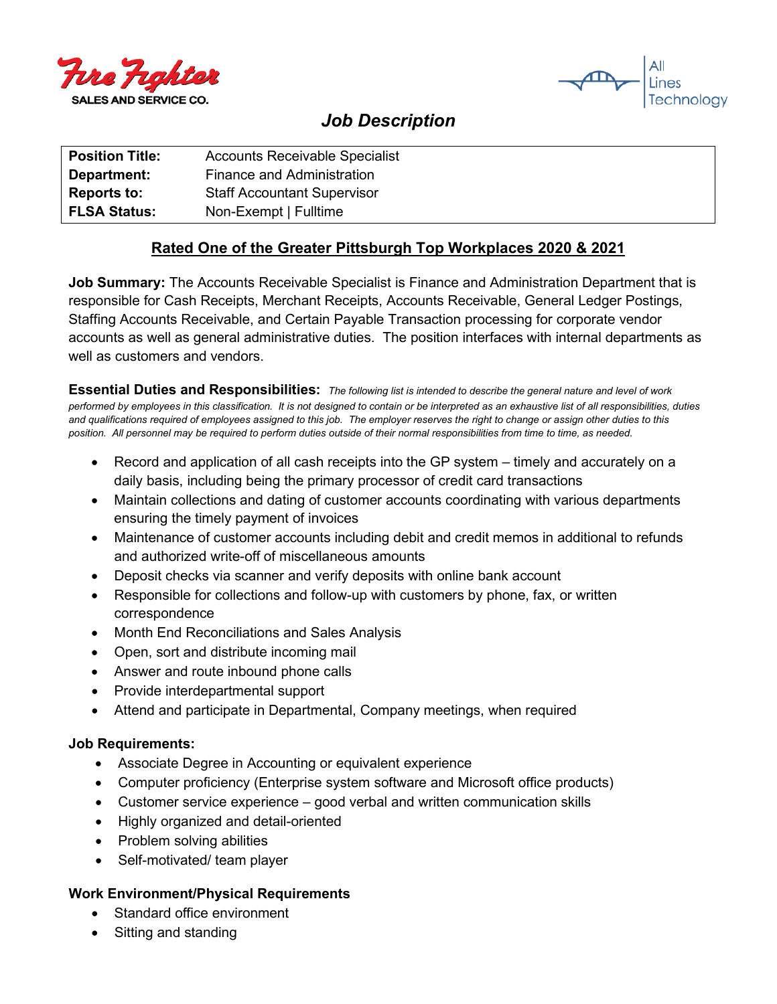



# *Job Description*

| <b>Position Title:</b> | <b>Accounts Receivable Specialist</b> |
|------------------------|---------------------------------------|
| Department:            | Finance and Administration            |
| <b>Reports to:</b>     | <b>Staff Accountant Supervisor</b>    |
| <b>FLSA Status:</b>    | Non-Exempt   Fulltime                 |

## **Rated One of the Greater Pittsburgh Top Workplaces 2020 & 2021**

**Job Summary:** The Accounts Receivable Specialist is Finance and Administration Department that is responsible for Cash Receipts, Merchant Receipts, Accounts Receivable, General Ledger Postings, Staffing Accounts Receivable, and Certain Payable Transaction processing for corporate vendor accounts as well as general administrative duties. The position interfaces with internal departments as well as customers and vendors.

**Essential Duties and Responsibilities:** *The following list is intended to describe the general nature and level of work performed by employees in this classification. It is not designed to contain or be interpreted as an exhaustive list of all responsibilities, duties and qualifications required of employees assigned to this job. The employer reserves the right to change or assign other duties to this position. All personnel may be required to perform duties outside of their normal responsibilities from time to time, as needed.*

- Record and application of all cash receipts into the GP system timely and accurately on a daily basis, including being the primary processor of credit card transactions
- Maintain collections and dating of customer accounts coordinating with various departments ensuring the timely payment of invoices
- Maintenance of customer accounts including debit and credit memos in additional to refunds and authorized write-off of miscellaneous amounts
- Deposit checks via scanner and verify deposits with online bank account
- Responsible for collections and follow-up with customers by phone, fax, or written correspondence
- Month End Reconciliations and Sales Analysis
- Open, sort and distribute incoming mail
- Answer and route inbound phone calls
- Provide interdepartmental support
- Attend and participate in Departmental, Company meetings, when required

#### **Job Requirements:**

- Associate Degree in Accounting or equivalent experience
- Computer proficiency (Enterprise system software and Microsoft office products)
- Customer service experience good verbal and written communication skills
- Highly organized and detail-oriented
- Problem solving abilities
- Self-motivated/ team player

#### **Work Environment/Physical Requirements**

- Standard office environment
- Sitting and standing